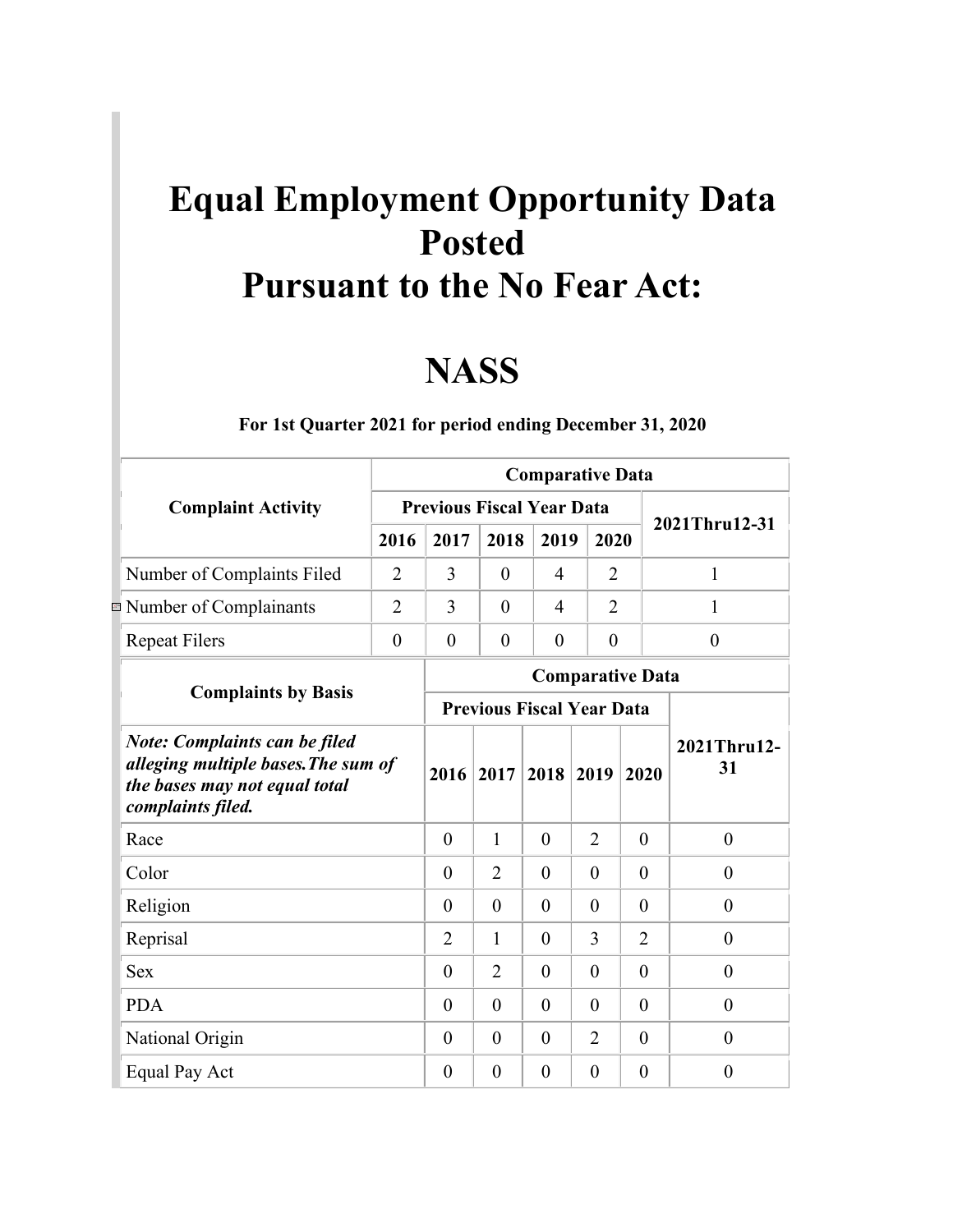## **Equal Employment Opportunity Data Posted Pursuant to the No Fear Act:**

## **NASS**

|                                                                                                                                   |                | <b>Comparative Data</b>          |                |                |                |                |                   |          |          |                |  |  |  |
|-----------------------------------------------------------------------------------------------------------------------------------|----------------|----------------------------------|----------------|----------------|----------------|----------------|-------------------|----------|----------|----------------|--|--|--|
| <b>Complaint Activity</b>                                                                                                         |                | <b>Previous Fiscal Year Data</b> |                |                |                |                | 2021Thru12-31     |          |          |                |  |  |  |
|                                                                                                                                   | 2016           | 2017                             | 2018           | 2019           | 2020           |                |                   |          |          |                |  |  |  |
| Number of Complaints Filed                                                                                                        | $\overline{2}$ | 3                                | $\overline{0}$ | $\overline{4}$ | $\overline{2}$ |                | 1                 |          |          |                |  |  |  |
| Number of Complainants                                                                                                            | $\overline{2}$ | 3                                | $\theta$       | 4              | $\overline{2}$ |                | 1                 |          |          |                |  |  |  |
| <b>Repeat Filers</b>                                                                                                              | $\overline{0}$ | $\overline{0}$                   | $\overline{0}$ | $\overline{0}$ | $\overline{0}$ |                | $\theta$          |          |          |                |  |  |  |
|                                                                                                                                   |                | <b>Comparative Data</b>          |                |                |                |                |                   |          |          |                |  |  |  |
| <b>Complaints by Basis</b>                                                                                                        |                | <b>Previous Fiscal Year Data</b> |                |                |                |                |                   |          |          |                |  |  |  |
| <b>Note: Complaints can be filed</b><br>alleging multiple bases. The sum of<br>the bases may not equal total<br>complaints filed. |                |                                  | 2016 2017      | 2018           | 2019           | 2020           | 2021Thru12-<br>31 |          |          |                |  |  |  |
| Race                                                                                                                              |                | $\theta$                         | 1              | $\theta$       | $\overline{2}$ | $\theta$       | $\overline{0}$    |          |          |                |  |  |  |
| Color                                                                                                                             |                | $\theta$                         | $\overline{2}$ | $\theta$       | $\overline{0}$ | $\theta$       | $\theta$          |          |          |                |  |  |  |
| Religion                                                                                                                          |                | $\theta$                         | $\theta$       | $\theta$       | $\overline{0}$ | $\theta$       | $\boldsymbol{0}$  |          |          |                |  |  |  |
| Reprisal                                                                                                                          |                | $\overline{2}$                   | 1              | $\theta$       | 3              | $\overline{2}$ | $\boldsymbol{0}$  |          |          |                |  |  |  |
| <b>Sex</b>                                                                                                                        |                |                                  |                |                | $\theta$       | $\overline{2}$ | $\theta$          | $\theta$ | $\theta$ | $\overline{0}$ |  |  |  |
| <b>PDA</b>                                                                                                                        |                | $\theta$                         | $\theta$       | $\theta$       | $\theta$       | $\theta$       | $\theta$          |          |          |                |  |  |  |
| National Origin                                                                                                                   |                | $\theta$                         | $\theta$       | $\theta$       | $\overline{2}$ | $\theta$       | $\overline{0}$    |          |          |                |  |  |  |
| Equal Pay Act                                                                                                                     |                | $\theta$                         | $\theta$       | $\overline{0}$ | $\overline{0}$ | $\theta$       | $\boldsymbol{0}$  |          |          |                |  |  |  |

**For 1st Quarter 2021 for period ending December 31, 2020**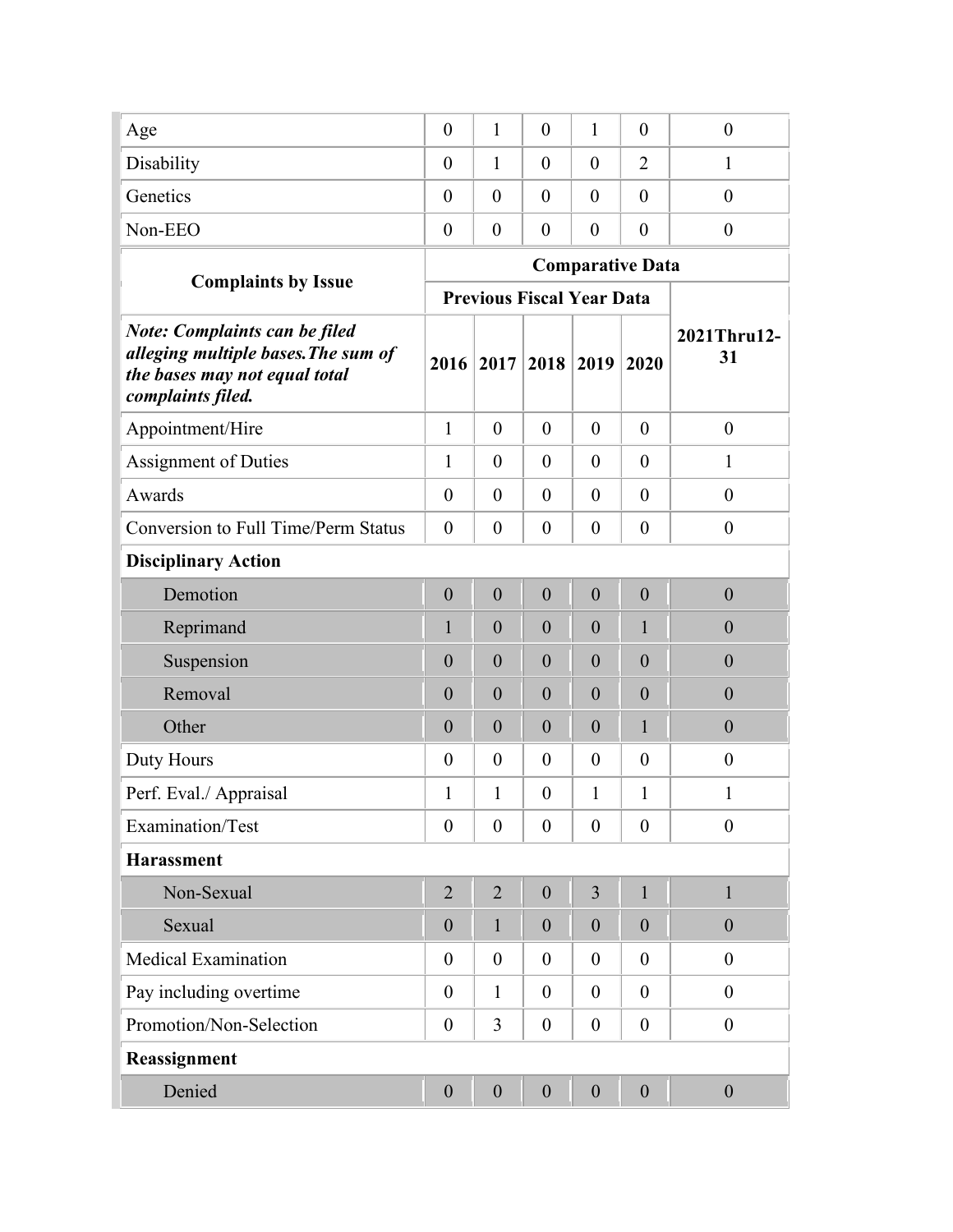| Age                                                                                                                               | $\boldsymbol{0}$ | $\mathbf{1}$                     | $\overline{0}$   | 1                | $\theta$                | $\boldsymbol{0}$  |
|-----------------------------------------------------------------------------------------------------------------------------------|------------------|----------------------------------|------------------|------------------|-------------------------|-------------------|
| Disability                                                                                                                        | $\boldsymbol{0}$ | 1                                | $\theta$         | $\overline{0}$   | $\overline{2}$          | 1                 |
| Genetics                                                                                                                          | $\theta$         | $\theta$                         | $\overline{0}$   | $\overline{0}$   | $\theta$                | $\overline{0}$    |
| Non-EEO                                                                                                                           | $\boldsymbol{0}$ | $\boldsymbol{0}$                 | $\boldsymbol{0}$ | $\overline{0}$   | $\overline{0}$          | $\boldsymbol{0}$  |
|                                                                                                                                   |                  |                                  |                  |                  | <b>Comparative Data</b> |                   |
| <b>Complaints by Issue</b>                                                                                                        |                  | <b>Previous Fiscal Year Data</b> |                  |                  |                         |                   |
| <b>Note: Complaints can be filed</b><br>alleging multiple bases. The sum of<br>the bases may not equal total<br>complaints filed. | 2016             | 2017                             | 2018             | 2019             | 2020                    | 2021Thru12-<br>31 |
| Appointment/Hire                                                                                                                  | $\mathbf{1}$     | $\theta$                         | $\overline{0}$   | $\overline{0}$   | $\theta$                | $\boldsymbol{0}$  |
| <b>Assignment of Duties</b>                                                                                                       | $\mathbf{1}$     | $\boldsymbol{0}$                 | $\overline{0}$   | $\theta$         | $\theta$                | $\mathbf{1}$      |
| Awards                                                                                                                            | $\boldsymbol{0}$ | $\theta$                         | $\overline{0}$   | $\overline{0}$   | $\theta$                | $\boldsymbol{0}$  |
| <b>Conversion to Full Time/Perm Status</b>                                                                                        | $\boldsymbol{0}$ | $\boldsymbol{0}$                 | $\overline{0}$   | $\overline{0}$   | $\theta$                | $\boldsymbol{0}$  |
| <b>Disciplinary Action</b>                                                                                                        |                  |                                  |                  |                  |                         |                   |
| Demotion                                                                                                                          | $\boldsymbol{0}$ | $\theta$                         | $\overline{0}$   | $\boldsymbol{0}$ | $\mathbf{0}$            | $\boldsymbol{0}$  |
| Reprimand                                                                                                                         | $\mathbf{1}$     | $\boldsymbol{0}$                 | $\overline{0}$   | $\overline{0}$   | $\mathbf{1}$            | $\boldsymbol{0}$  |
| Suspension                                                                                                                        | $\overline{0}$   | $\overline{0}$                   | $\overline{0}$   | $\overline{0}$   | $\overline{0}$          | $\overline{0}$    |
| Removal                                                                                                                           | $\overline{0}$   | $\boldsymbol{0}$                 | $\overline{0}$   | $\overline{0}$   | $\overline{0}$          | $\boldsymbol{0}$  |
| Other                                                                                                                             | $\overline{0}$   | $\boldsymbol{0}$                 | $\overline{0}$   | $\overline{0}$   | $\mathbf{1}$            | $\overline{0}$    |
| Duty Hours                                                                                                                        | $\theta$         | $\boldsymbol{0}$                 | $\mathbf{0}$     | $\overline{0}$   | $\mathbf{0}$            | $\boldsymbol{0}$  |
| Perf. Eval./ Appraisal                                                                                                            | 1                | 1                                | $\boldsymbol{0}$ | 1                | $\mathbf{1}$            | 1                 |
| Examination/Test                                                                                                                  | $\boldsymbol{0}$ | $\boldsymbol{0}$                 | $\overline{0}$   | $\overline{0}$   | $\theta$                | $\boldsymbol{0}$  |
| <b>Harassment</b>                                                                                                                 |                  |                                  |                  |                  |                         |                   |
| Non-Sexual                                                                                                                        | $\overline{2}$   | $\overline{2}$                   | $\boldsymbol{0}$ | $\overline{3}$   | $\mathbf{1}$            | $\mathbf{1}$      |
| Sexual                                                                                                                            | $\boldsymbol{0}$ | $\mathbf{1}$                     | $\boldsymbol{0}$ | $\boldsymbol{0}$ | $\overline{0}$          | $\boldsymbol{0}$  |
| <b>Medical Examination</b>                                                                                                        | $\boldsymbol{0}$ | $\overline{0}$                   | $\boldsymbol{0}$ | $\theta$         | $\theta$                | $\boldsymbol{0}$  |
| Pay including overtime                                                                                                            | $\boldsymbol{0}$ | $\mathbf{1}$                     | $\overline{0}$   | $\overline{0}$   | $\theta$                | $\boldsymbol{0}$  |
| Promotion/Non-Selection                                                                                                           | $\boldsymbol{0}$ | 3                                | $\boldsymbol{0}$ | $\boldsymbol{0}$ | $\boldsymbol{0}$        | $\boldsymbol{0}$  |
| Reassignment                                                                                                                      |                  |                                  |                  |                  |                         |                   |
| Denied                                                                                                                            | $\boldsymbol{0}$ | $\boldsymbol{0}$                 | $\boldsymbol{0}$ | $\boldsymbol{0}$ | $\boldsymbol{0}$        | $\boldsymbol{0}$  |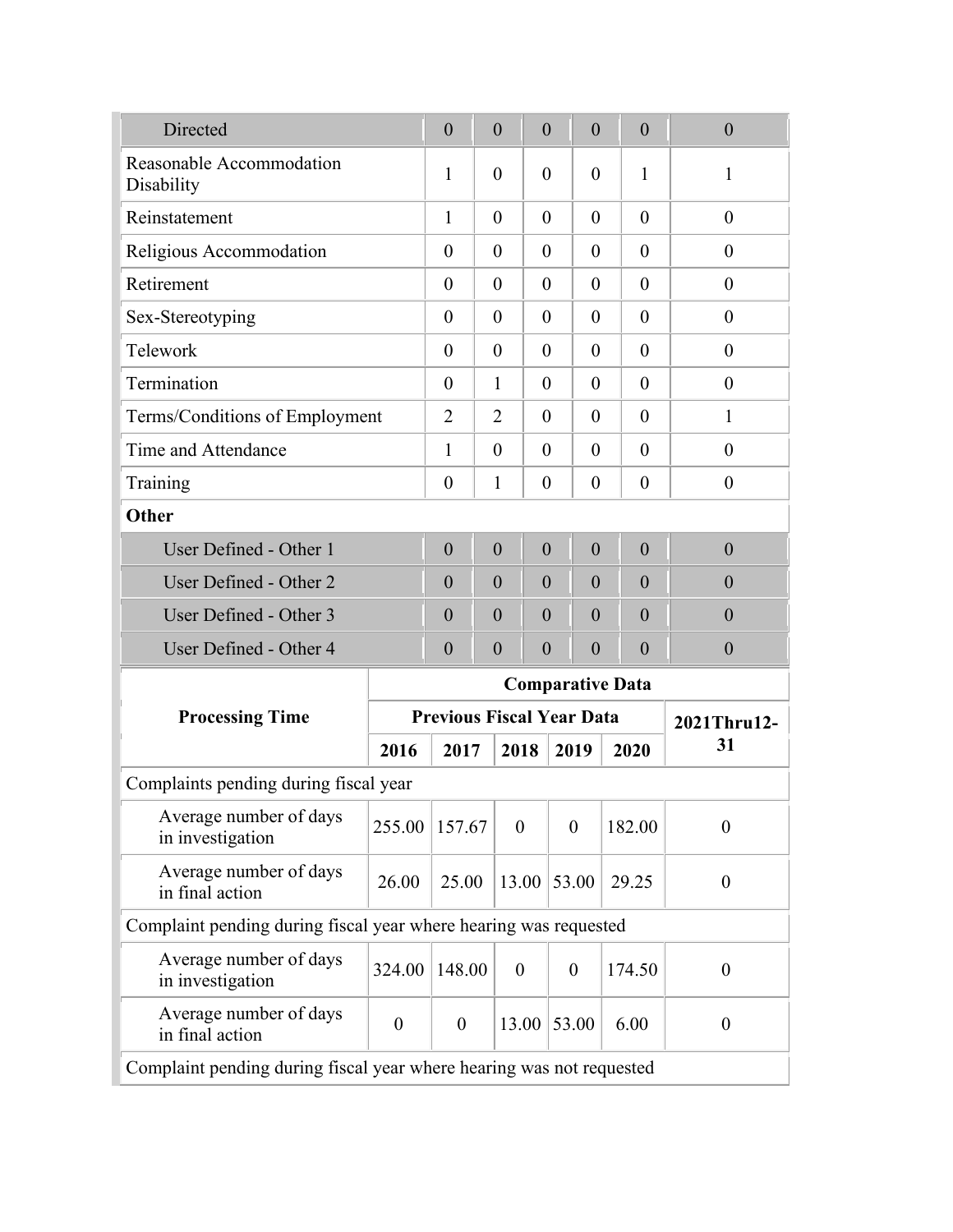| Directed                                                         |          | $\overline{0}$                                                       | $\overline{0}$   | $\theta$         | $\overline{0}$                   |      | $\overline{0}$   | $\overline{0}$   |  |  |  |  |
|------------------------------------------------------------------|----------|----------------------------------------------------------------------|------------------|------------------|----------------------------------|------|------------------|------------------|--|--|--|--|
| Reasonable Accommodation<br>Disability                           |          | 1                                                                    | $\overline{0}$   | $\theta$         | $\theta$                         |      | 1                | 1                |  |  |  |  |
| Reinstatement                                                    |          | $\mathbf{1}$                                                         | $\theta$         | $\theta$         | $\theta$                         |      | $\theta$         | $\overline{0}$   |  |  |  |  |
| Religious Accommodation                                          |          | $\overline{0}$                                                       | $\theta$         | $\theta$         | $\theta$                         |      | $\theta$         | $\theta$         |  |  |  |  |
| Retirement                                                       |          | $\theta$                                                             | $\theta$         | $\theta$         | $\theta$                         |      | $\theta$         | $\theta$         |  |  |  |  |
| Sex-Stereotyping                                                 |          | $\overline{0}$                                                       | $\overline{0}$   | $\theta$         | $\theta$                         |      | $\theta$         | $\overline{0}$   |  |  |  |  |
| Telework                                                         |          | $\overline{0}$                                                       | $\theta$         | $\theta$         | $\theta$                         |      | $\theta$         | $\theta$         |  |  |  |  |
| Termination                                                      |          | $\theta$                                                             | 1                | $\theta$         | $\theta$                         |      | $\theta$         | $\theta$         |  |  |  |  |
| Terms/Conditions of Employment                                   |          | $\overline{2}$                                                       | 2                | $\theta$         | $\theta$                         |      | $\theta$         | $\mathbf{1}$     |  |  |  |  |
| Time and Attendance                                              |          | 1                                                                    | $\theta$         | $\theta$         | $\theta$                         |      | $\theta$         | $\overline{0}$   |  |  |  |  |
| Training                                                         |          | $\overline{0}$                                                       | 1                | $\overline{0}$   | $\theta$                         |      | $\overline{0}$   | $\boldsymbol{0}$ |  |  |  |  |
| Other                                                            |          |                                                                      |                  |                  |                                  |      |                  |                  |  |  |  |  |
| User Defined - Other 1                                           |          | $\overline{0}$                                                       | $\overline{0}$   | $\overline{0}$   | $\overline{0}$                   |      | $\overline{0}$   | $\overline{0}$   |  |  |  |  |
| User Defined - Other 2                                           |          | $\overline{0}$                                                       | $\overline{0}$   | $\theta$         | $\theta$                         |      | $\overline{0}$   | $\overline{0}$   |  |  |  |  |
| User Defined - Other 3                                           |          | $\theta$                                                             | $\overline{0}$   | $\theta$         | $\overline{0}$                   |      | $\overline{0}$   | $\overline{0}$   |  |  |  |  |
| User Defined - Other 4                                           |          | $\overline{0}$                                                       | $\boldsymbol{0}$ | $\overline{0}$   | $\boldsymbol{0}$                 |      | $\boldsymbol{0}$ | $\boldsymbol{0}$ |  |  |  |  |
|                                                                  |          | <b>Comparative Data</b>                                              |                  |                  |                                  |      |                  |                  |  |  |  |  |
| <b>Processing Time</b>                                           |          |                                                                      |                  |                  | <b>Previous Fiscal Year Data</b> |      |                  | 2021Thru12-      |  |  |  |  |
|                                                                  | 2016     | 2017                                                                 |                  | 2018             | 2019                             | 2020 | 31               |                  |  |  |  |  |
| Complaints pending during fiscal year                            |          |                                                                      |                  |                  |                                  |      |                  |                  |  |  |  |  |
| Average number of days<br>in investigation                       | 255.00   | 157.67                                                               |                  | $\boldsymbol{0}$ | $\boldsymbol{0}$                 |      | 182.00           | $\boldsymbol{0}$ |  |  |  |  |
| Average number of days<br>in final action                        | 26.00    | 25.00                                                                |                  | 13.00            | 53.00                            |      | 29.25            | $\boldsymbol{0}$ |  |  |  |  |
| Complaint pending during fiscal year where hearing was requested |          |                                                                      |                  |                  |                                  |      |                  |                  |  |  |  |  |
| Average number of days<br>in investigation                       | 324.00   | 148.00                                                               |                  | $\boldsymbol{0}$ | $\overline{0}$                   |      | 174.50           | $\theta$         |  |  |  |  |
| Average number of days<br>in final action                        | $\theta$ | $\boldsymbol{0}$                                                     |                  | 13.00            | 53.00                            |      | 6.00             | $\overline{0}$   |  |  |  |  |
|                                                                  |          | Complaint pending during fiscal year where hearing was not requested |                  |                  |                                  |      |                  |                  |  |  |  |  |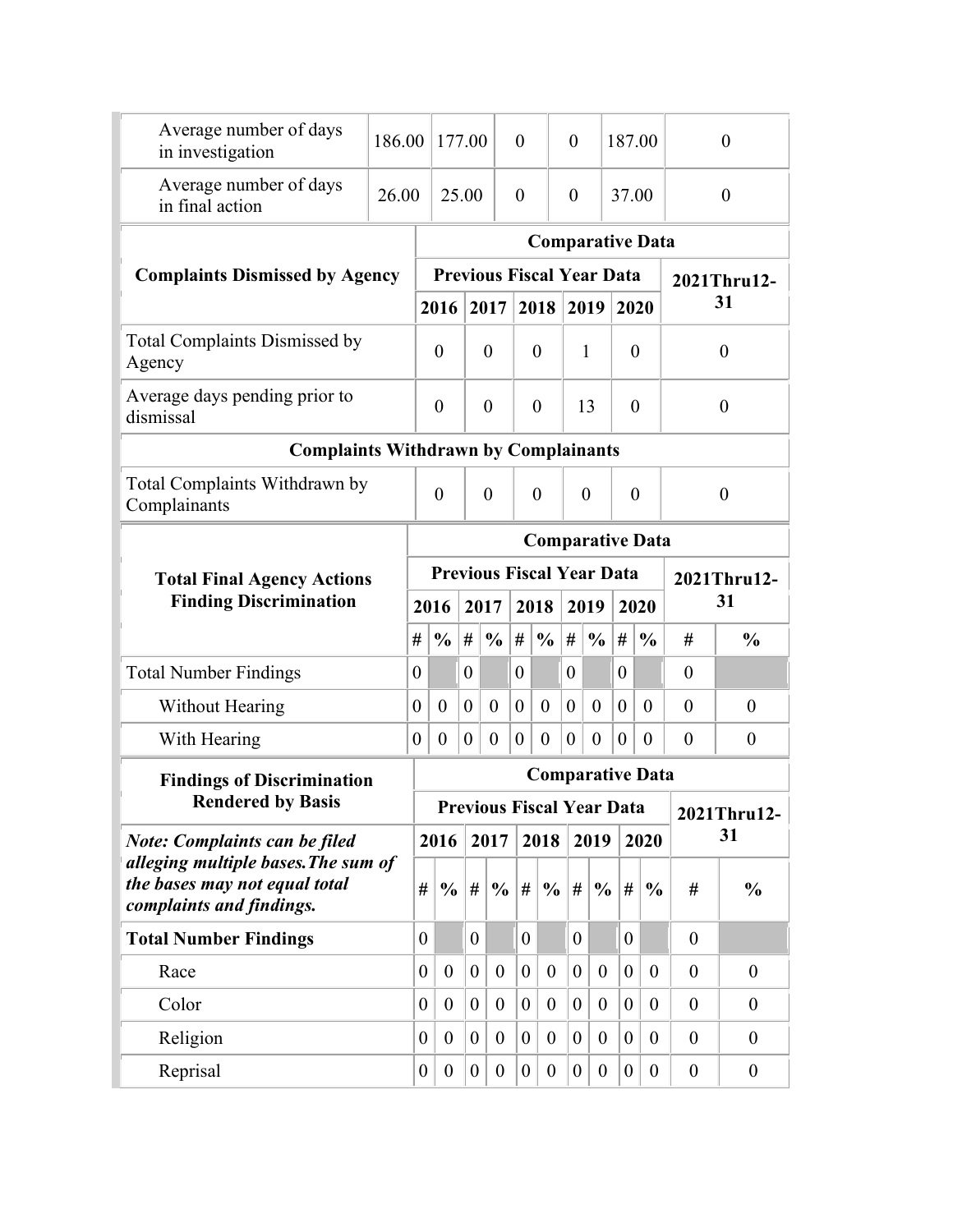| Average number of days<br>in investigation                                                       | 186.00 |                                                 | 177.00                           |                  |                  | $\theta$         |                                  | $\theta$         |                  | 187.00           |                         | $\theta$         |                  |  |  |  |
|--------------------------------------------------------------------------------------------------|--------|-------------------------------------------------|----------------------------------|------------------|------------------|------------------|----------------------------------|------------------|------------------|------------------|-------------------------|------------------|------------------|--|--|--|
| Average number of days<br>in final action                                                        | 26.00  |                                                 |                                  | 25.00            |                  | $\theta$         |                                  | $\theta$         |                  | 37.00            |                         |                  | $\theta$         |  |  |  |
|                                                                                                  |        |                                                 |                                  |                  |                  |                  |                                  |                  |                  |                  | <b>Comparative Data</b> |                  |                  |  |  |  |
| <b>Complaints Dismissed by Agency</b>                                                            |        |                                                 | <b>Previous Fiscal Year Data</b> |                  |                  |                  |                                  |                  |                  |                  |                         |                  | 2021Thru12-      |  |  |  |
|                                                                                                  |        |                                                 | 2016                             |                  | 2017             |                  | 2018                             | 2019             |                  | 2020             |                         |                  | 31               |  |  |  |
| <b>Total Complaints Dismissed by</b><br>Agency                                                   |        |                                                 | $\boldsymbol{0}$                 |                  | $\overline{0}$   |                  | $\theta$                         | $\mathbf{1}$     |                  | $\theta$         |                         |                  | $\theta$         |  |  |  |
| Average days pending prior to<br>dismissal                                                       |        |                                                 | $\boldsymbol{0}$                 |                  | $\overline{0}$   |                  | $\overline{0}$                   | 13               |                  | $\overline{0}$   |                         | $\theta$         |                  |  |  |  |
| <b>Complaints Withdrawn by Complainants</b>                                                      |        |                                                 |                                  |                  |                  |                  |                                  |                  |                  |                  |                         |                  |                  |  |  |  |
| Total Complaints Withdrawn by<br>Complainants                                                    |        |                                                 | $\theta$                         |                  | $\overline{0}$   |                  | $\overline{0}$                   | $\theta$         |                  | $\overline{0}$   |                         |                  | $\theta$         |  |  |  |
|                                                                                                  |        |                                                 |                                  |                  |                  |                  |                                  |                  |                  |                  | <b>Comparative Data</b> |                  |                  |  |  |  |
| <b>Total Final Agency Actions</b>                                                                |        | <b>Previous Fiscal Year Data</b><br>2021Thru12- |                                  |                  |                  |                  |                                  |                  |                  |                  |                         |                  |                  |  |  |  |
| <b>Finding Discrimination</b>                                                                    |        |                                                 | 2016                             | 2017             |                  | 2018             |                                  | 2019             |                  |                  | 2020                    |                  | 31               |  |  |  |
|                                                                                                  |        | #                                               | $\frac{0}{0}$                    | #                | $\frac{6}{6}$    | #                | $\frac{0}{0}$                    | #                | $\frac{0}{0}$    | $\#$             | $\frac{0}{0}$           | #                | $\frac{0}{0}$    |  |  |  |
| <b>Total Number Findings</b>                                                                     |        | 0                                               |                                  | $\overline{0}$   |                  | $\overline{0}$   |                                  | $\theta$         |                  | $\theta$         |                         | $\theta$         |                  |  |  |  |
| <b>Without Hearing</b>                                                                           |        | $\theta$                                        | $\theta$                         | $\theta$         | $\overline{0}$   | $\overline{0}$   | $\theta$                         | $\overline{0}$   | $\mathbf{0}$     | $\theta$         | $\theta$                | $\overline{0}$   | $\overline{0}$   |  |  |  |
| With Hearing                                                                                     |        | $\boldsymbol{0}$                                | $\boldsymbol{0}$                 | $\boldsymbol{0}$ | $\boldsymbol{0}$ | $\boldsymbol{0}$ | $\theta$                         | $\boldsymbol{0}$ | $\boldsymbol{0}$ | $\boldsymbol{0}$ | $\theta$                | $\theta$         | $\boldsymbol{0}$ |  |  |  |
| <b>Findings of Discrimination</b>                                                                |        |                                                 |                                  |                  |                  |                  |                                  |                  |                  |                  | <b>Comparative Data</b> |                  |                  |  |  |  |
| <b>Rendered by Basis</b>                                                                         |        |                                                 |                                  |                  |                  |                  | <b>Previous Fiscal Year Data</b> |                  |                  |                  |                         |                  | 2021Thru12-      |  |  |  |
| <b>Note: Complaints can be filed</b>                                                             |        |                                                 | 2016                             |                  | 2017             |                  | 2018                             |                  | 2019             |                  | 2020                    |                  | 31               |  |  |  |
| alleging multiple bases. The sum of<br>the bases may not equal total<br>complaints and findings. |        | #                                               | $\frac{6}{6}$                    | #                | $\frac{6}{6}$    | #                | $\frac{0}{0}$                    | #                | $\frac{0}{0}$    | #                | $\frac{0}{0}$           | #                | $\frac{0}{0}$    |  |  |  |
| <b>Total Number Findings</b>                                                                     |        | $\boldsymbol{0}$                                |                                  | $\overline{0}$   |                  | $\overline{0}$   |                                  | $\overline{0}$   |                  | $\overline{0}$   |                         | $\mathbf{0}$     |                  |  |  |  |
| Race                                                                                             |        | $\overline{0}$                                  | $\overline{0}$                   | $\overline{0}$   | $\overline{0}$   | $\boldsymbol{0}$ | $\theta$                         | $\theta$         | $\boldsymbol{0}$ | $\overline{0}$   | $\boldsymbol{0}$        | $\theta$         | $\boldsymbol{0}$ |  |  |  |
| Color                                                                                            |        | $\overline{0}$                                  | $\overline{0}$                   | $\overline{0}$   | $\theta$         | $\boldsymbol{0}$ | $\theta$                         | $\overline{0}$   | $\theta$         | $\overline{0}$   | $\overline{0}$          | $\overline{0}$   | $\theta$         |  |  |  |
|                                                                                                  |        |                                                 |                                  |                  |                  |                  |                                  |                  |                  |                  |                         |                  |                  |  |  |  |
| Religion                                                                                         |        | $\boldsymbol{0}$                                | $\theta$                         | $\boldsymbol{0}$ | $\theta$         | $\boldsymbol{0}$ | $\theta$                         | $\overline{0}$   | $\boldsymbol{0}$ | $\overline{0}$   | $\boldsymbol{0}$        | $\boldsymbol{0}$ | $\theta$         |  |  |  |
| Reprisal                                                                                         |        | $\boldsymbol{0}$                                | $\boldsymbol{0}$                 | $\overline{0}$   | $\boldsymbol{0}$ | $\boldsymbol{0}$ | $\boldsymbol{0}$                 | $\boldsymbol{0}$ | $\theta$         | $\boldsymbol{0}$ | $\boldsymbol{0}$        | $\boldsymbol{0}$ | $\boldsymbol{0}$ |  |  |  |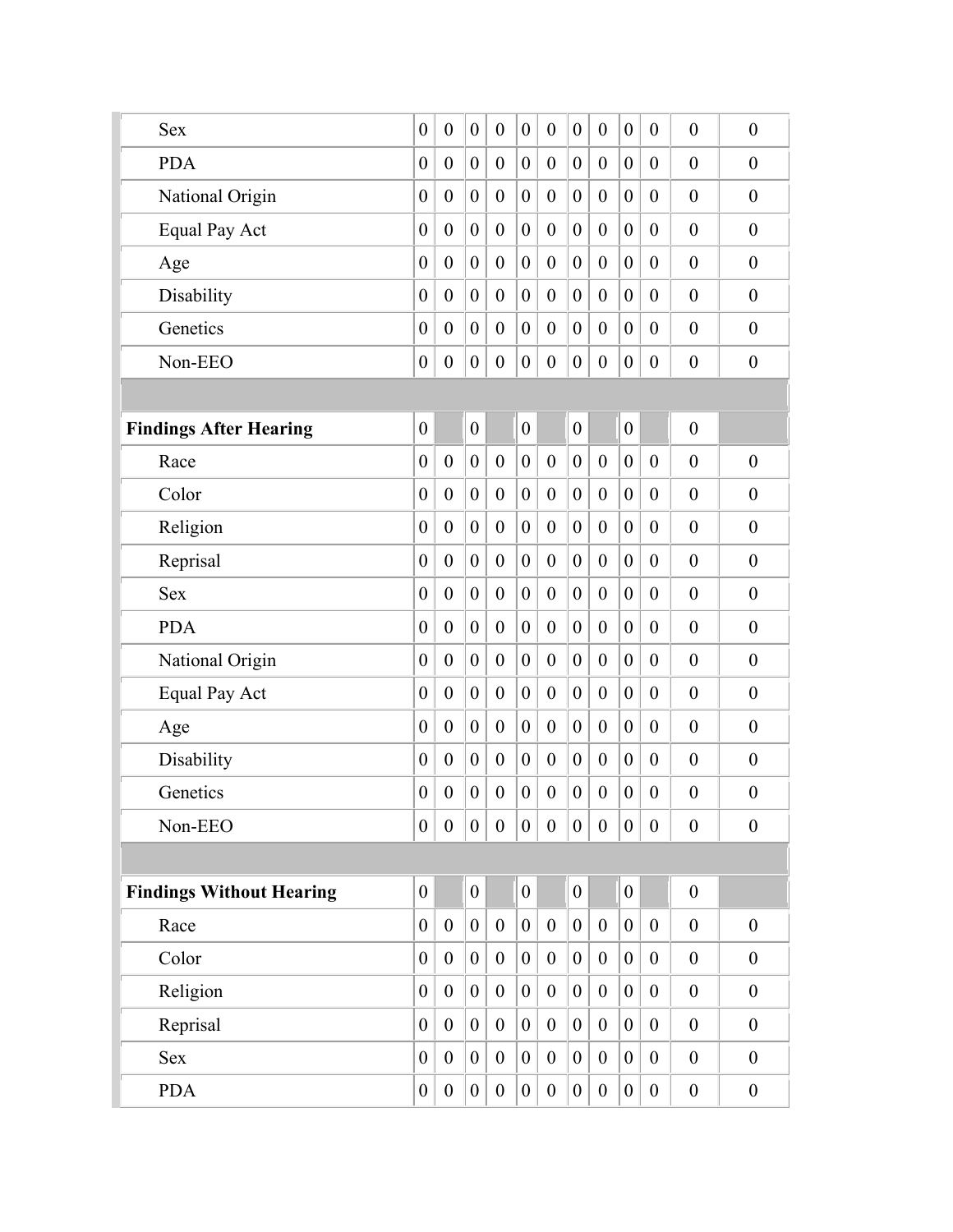| <b>Sex</b>                      | $\boldsymbol{0}$ | $\boldsymbol{0}$ | $\boldsymbol{0}$ | $\theta$         | $\boldsymbol{0}$ | $\boldsymbol{0}$ | $\boldsymbol{0}$ | $\boldsymbol{0}$ | $\boldsymbol{0}$ | $\boldsymbol{0}$ | $\overline{0}$   | $\boldsymbol{0}$ |
|---------------------------------|------------------|------------------|------------------|------------------|------------------|------------------|------------------|------------------|------------------|------------------|------------------|------------------|
| <b>PDA</b>                      | $\boldsymbol{0}$ | $\theta$         | $\boldsymbol{0}$ | $\boldsymbol{0}$ | $\boldsymbol{0}$ | $\boldsymbol{0}$ | $\boldsymbol{0}$ | $\theta$         | $\boldsymbol{0}$ | $\boldsymbol{0}$ | $\overline{0}$   | $\boldsymbol{0}$ |
| National Origin                 | $\boldsymbol{0}$ | $\overline{0}$   | $\boldsymbol{0}$ | $\overline{0}$   | $\boldsymbol{0}$ | $\boldsymbol{0}$ | $\overline{0}$   | $\overline{0}$   | $\theta$         | $\boldsymbol{0}$ | $\theta$         | $\overline{0}$   |
| <b>Equal Pay Act</b>            | $\overline{0}$   | $\theta$         | $\boldsymbol{0}$ | $\theta$         | $\boldsymbol{0}$ | $\boldsymbol{0}$ | $\boldsymbol{0}$ | $\overline{0}$   | $\theta$         | $\boldsymbol{0}$ | $\overline{0}$   | $\overline{0}$   |
| Age                             | $\boldsymbol{0}$ | $\theta$         | $\boldsymbol{0}$ | $\theta$         | $\boldsymbol{0}$ | $\boldsymbol{0}$ | $\boldsymbol{0}$ | $\overline{0}$   | $\boldsymbol{0}$ | $\boldsymbol{0}$ | $\overline{0}$   | $\theta$         |
| Disability                      | $\boldsymbol{0}$ | $\mathbf{0}$     | $\boldsymbol{0}$ | $\boldsymbol{0}$ | $\boldsymbol{0}$ | $\boldsymbol{0}$ | $\boldsymbol{0}$ | $\overline{0}$   | $\boldsymbol{0}$ | $\boldsymbol{0}$ | $\overline{0}$   | $\boldsymbol{0}$ |
| Genetics                        | $\boldsymbol{0}$ | $\theta$         | $\boldsymbol{0}$ | $\boldsymbol{0}$ | $\boldsymbol{0}$ | $\boldsymbol{0}$ | $\boldsymbol{0}$ | $\overline{0}$   | $\theta$         | $\boldsymbol{0}$ | $\overline{0}$   | $\boldsymbol{0}$ |
| Non-EEO                         | $\boldsymbol{0}$ | $\boldsymbol{0}$ | $\boldsymbol{0}$ | $\boldsymbol{0}$ | $\boldsymbol{0}$ | $\boldsymbol{0}$ | $\boldsymbol{0}$ | $\boldsymbol{0}$ | $\boldsymbol{0}$ | $\boldsymbol{0}$ | $\boldsymbol{0}$ | $\overline{0}$   |
|                                 |                  |                  |                  |                  |                  |                  |                  |                  |                  |                  |                  |                  |
| <b>Findings After Hearing</b>   | $\boldsymbol{0}$ |                  | $\boldsymbol{0}$ |                  | $\boldsymbol{0}$ |                  | $\boldsymbol{0}$ |                  | $\boldsymbol{0}$ |                  | $\boldsymbol{0}$ |                  |
| Race                            | $\boldsymbol{0}$ | $\overline{0}$   | $\boldsymbol{0}$ | $\boldsymbol{0}$ | $\boldsymbol{0}$ | $\boldsymbol{0}$ | $\boldsymbol{0}$ | $\overline{0}$   | $\boldsymbol{0}$ | $\overline{0}$   | $\overline{0}$   | $\boldsymbol{0}$ |
| Color                           | $\boldsymbol{0}$ | $\overline{0}$   | $\boldsymbol{0}$ | $\boldsymbol{0}$ | $\boldsymbol{0}$ | $\boldsymbol{0}$ | $\boldsymbol{0}$ | $\overline{0}$   | $\boldsymbol{0}$ | $\boldsymbol{0}$ | $\theta$         | $\overline{0}$   |
| Religion                        | $\boldsymbol{0}$ | $\theta$         | $\boldsymbol{0}$ | $\theta$         | $\boldsymbol{0}$ | $\boldsymbol{0}$ | $\boldsymbol{0}$ | $\overline{0}$   | $\boldsymbol{0}$ | $\boldsymbol{0}$ | $\overline{0}$   | $\overline{0}$   |
| Reprisal                        | $\boldsymbol{0}$ | $\theta$         | $\boldsymbol{0}$ | $\theta$         | $\boldsymbol{0}$ | $\boldsymbol{0}$ | $\boldsymbol{0}$ | $\overline{0}$   | $\boldsymbol{0}$ | $\boldsymbol{0}$ | $\overline{0}$   | $\theta$         |
| <b>Sex</b>                      | $\boldsymbol{0}$ | $\theta$         | $\boldsymbol{0}$ | $\boldsymbol{0}$ | $\boldsymbol{0}$ | $\boldsymbol{0}$ | $\boldsymbol{0}$ | $\overline{0}$   | $\boldsymbol{0}$ | $\boldsymbol{0}$ | $\boldsymbol{0}$ | $\boldsymbol{0}$ |
| <b>PDA</b>                      | $\boldsymbol{0}$ | $\theta$         | $\boldsymbol{0}$ | $\boldsymbol{0}$ | $\boldsymbol{0}$ | $\boldsymbol{0}$ | $\boldsymbol{0}$ | $\boldsymbol{0}$ | $\boldsymbol{0}$ | $\boldsymbol{0}$ | $\overline{0}$   | $\boldsymbol{0}$ |
| National Origin                 | $\boldsymbol{0}$ | $\theta$         | $\boldsymbol{0}$ | $\theta$         | $\boldsymbol{0}$ | $\boldsymbol{0}$ | $\boldsymbol{0}$ | $\overline{0}$   | $\theta$         | $\boldsymbol{0}$ | $\overline{0}$   | $\mathbf{0}$     |
| Equal Pay Act                   | $\boldsymbol{0}$ | $\theta$         | $\boldsymbol{0}$ | $\boldsymbol{0}$ | $\boldsymbol{0}$ | $\boldsymbol{0}$ | $\boldsymbol{0}$ | $\boldsymbol{0}$ | $\boldsymbol{0}$ | $\boldsymbol{0}$ | $\boldsymbol{0}$ | $\overline{0}$   |
| Age                             | $\boldsymbol{0}$ | $\boldsymbol{0}$ | $\boldsymbol{0}$ | $\boldsymbol{0}$ | $\boldsymbol{0}$ | $\boldsymbol{0}$ | $\boldsymbol{0}$ | $\boldsymbol{0}$ | $\boldsymbol{0}$ | $\boldsymbol{0}$ | $\boldsymbol{0}$ | $\theta$         |
| Disability                      | $\boldsymbol{0}$ | $\boldsymbol{0}$ | $\boldsymbol{0}$ | $\boldsymbol{0}$ | $\boldsymbol{0}$ | $\boldsymbol{0}$ | $\boldsymbol{0}$ | $\boldsymbol{0}$ | $\boldsymbol{0}$ | $\boldsymbol{0}$ | $\boldsymbol{0}$ | $\boldsymbol{0}$ |
| Genetics                        | $\boldsymbol{0}$ | $\boldsymbol{0}$ | $\boldsymbol{0}$ | $\boldsymbol{0}$ | $\boldsymbol{0}$ | $\boldsymbol{0}$ | $\boldsymbol{0}$ | $\boldsymbol{0}$ | $\boldsymbol{0}$ | $\boldsymbol{0}$ | $\boldsymbol{0}$ | $\boldsymbol{0}$ |
| Non-EEO                         | $\boldsymbol{0}$ | $\boldsymbol{0}$ | $\overline{0}$   | $\boldsymbol{0}$ | $\boldsymbol{0}$ | $\boldsymbol{0}$ | $\overline{0}$   | $\boldsymbol{0}$ | $\overline{0}$   | $\boldsymbol{0}$ | $\boldsymbol{0}$ | $\boldsymbol{0}$ |
|                                 |                  |                  |                  |                  |                  |                  |                  |                  |                  |                  |                  |                  |
| <b>Findings Without Hearing</b> | $\boldsymbol{0}$ |                  | $\boldsymbol{0}$ |                  | $\overline{0}$   |                  | $\boldsymbol{0}$ |                  | $\overline{0}$   |                  | $\boldsymbol{0}$ |                  |
| Race                            | $\boldsymbol{0}$ | $\boldsymbol{0}$ | $\boldsymbol{0}$ | $\boldsymbol{0}$ | $\boldsymbol{0}$ | $\boldsymbol{0}$ | $\overline{0}$   | $\boldsymbol{0}$ | $\overline{0}$   | $\boldsymbol{0}$ | $\boldsymbol{0}$ | $\boldsymbol{0}$ |
| Color                           | $\boldsymbol{0}$ | $\theta$         | $\boldsymbol{0}$ | $\boldsymbol{0}$ | $\boldsymbol{0}$ | $\boldsymbol{0}$ | $\boldsymbol{0}$ | $\boldsymbol{0}$ | $\overline{0}$   | $\boldsymbol{0}$ | $\boldsymbol{0}$ | $\boldsymbol{0}$ |
| Religion                        | $\boldsymbol{0}$ | $\theta$         | $\boldsymbol{0}$ | $\boldsymbol{0}$ | $\boldsymbol{0}$ | $\boldsymbol{0}$ | $\boldsymbol{0}$ | $\boldsymbol{0}$ | $\boldsymbol{0}$ | $\boldsymbol{0}$ | $\boldsymbol{0}$ | $\boldsymbol{0}$ |
| Reprisal                        | $\boldsymbol{0}$ | $\theta$         | $\boldsymbol{0}$ | $\boldsymbol{0}$ | $\boldsymbol{0}$ | $\boldsymbol{0}$ | $\boldsymbol{0}$ | $\boldsymbol{0}$ | $\boldsymbol{0}$ | $\boldsymbol{0}$ | $\boldsymbol{0}$ | $\boldsymbol{0}$ |
| <b>Sex</b>                      | $\boldsymbol{0}$ | $\theta$         | $\boldsymbol{0}$ | $\boldsymbol{0}$ | $\boldsymbol{0}$ | $\boldsymbol{0}$ | $\boldsymbol{0}$ | $\boldsymbol{0}$ | $\boldsymbol{0}$ | $\boldsymbol{0}$ | $\boldsymbol{0}$ | $\boldsymbol{0}$ |
| <b>PDA</b>                      | $\boldsymbol{0}$ | $\boldsymbol{0}$ | $\boldsymbol{0}$ | $\boldsymbol{0}$ | $\boldsymbol{0}$ | $\boldsymbol{0}$ | $\boldsymbol{0}$ | $\boldsymbol{0}$ | $\boldsymbol{0}$ | $\boldsymbol{0}$ | $\boldsymbol{0}$ | $\boldsymbol{0}$ |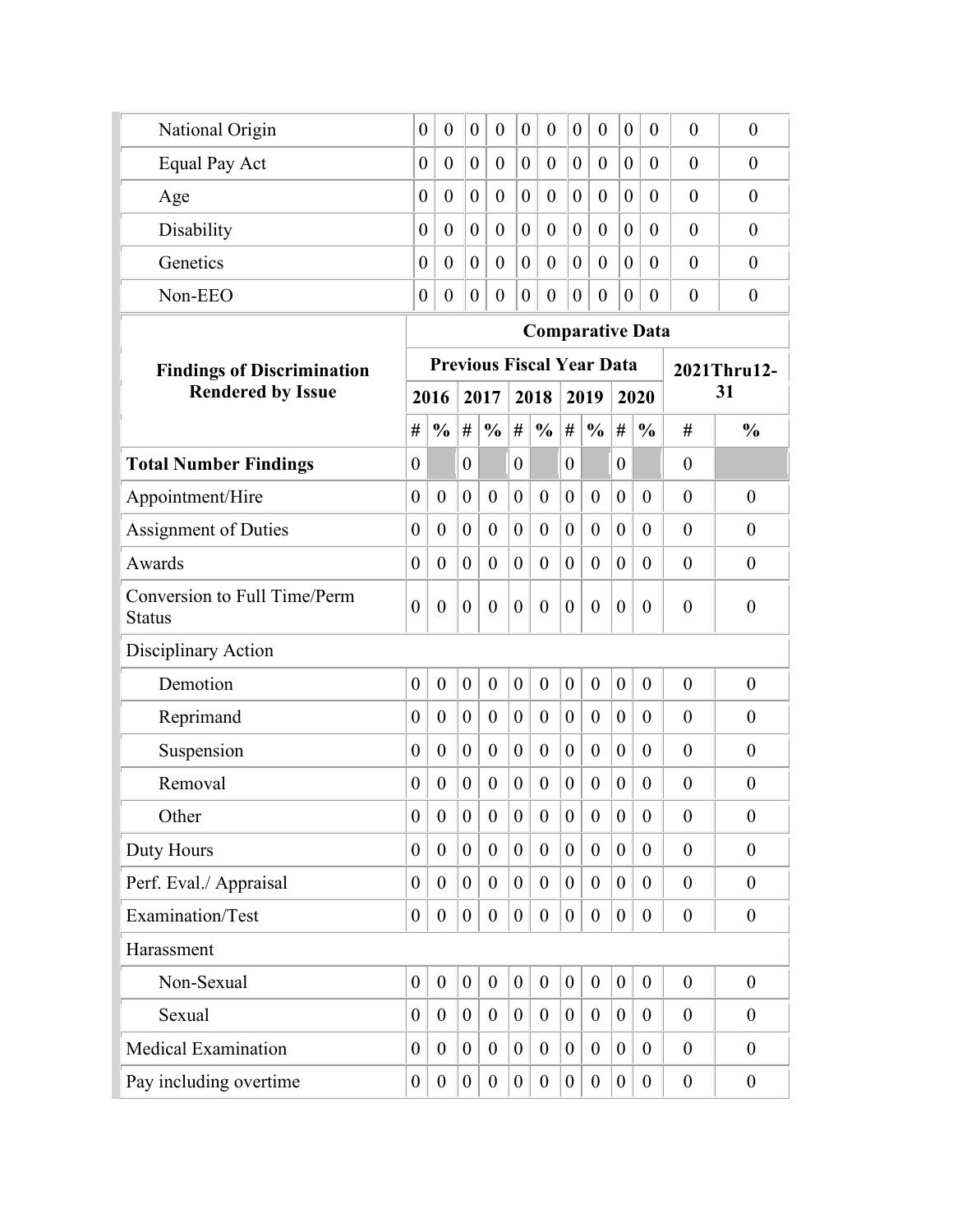| National Origin                               | $\theta$                | $\overline{0}$       | $\boldsymbol{0}$ | $\theta$                         | $\boldsymbol{0}$ | $\theta$         | $\boldsymbol{0}$ | $\theta$         | $\boldsymbol{0}$ | $\overline{0}$   | $\theta$         | $\theta$         |
|-----------------------------------------------|-------------------------|----------------------|------------------|----------------------------------|------------------|------------------|------------------|------------------|------------------|------------------|------------------|------------------|
| Equal Pay Act                                 | $\boldsymbol{0}$        | $\overline{0}$       | $\theta$         | $\theta$                         | $\boldsymbol{0}$ | $\theta$         | $\overline{0}$   | $\theta$         | $\overline{0}$   | $\overline{0}$   | $\overline{0}$   | $\theta$         |
| Age                                           | $\boldsymbol{0}$        | $\theta$             | $\theta$         | $\theta$                         | $\boldsymbol{0}$ | $\theta$         | $\theta$         | $\overline{0}$   | $\overline{0}$   | $\theta$         | $\overline{0}$   | $\theta$         |
| Disability                                    | $\overline{0}$          | $\theta$             | $\overline{0}$   | $\overline{0}$                   | $\boldsymbol{0}$ | $\overline{0}$   | $\theta$         | $\overline{0}$   | $\overline{0}$   | $\theta$         | $\theta$         | $\overline{0}$   |
| Genetics                                      | $\boldsymbol{0}$        | $\theta$             | $\boldsymbol{0}$ | $\overline{0}$                   | $\boldsymbol{0}$ | $\theta$         | $\overline{0}$   | $\overline{0}$   | $\overline{0}$   | $\theta$         | $\overline{0}$   | $\theta$         |
| Non-EEO                                       | $\boldsymbol{0}$        | $\boldsymbol{0}$     | $\boldsymbol{0}$ | $\boldsymbol{0}$                 | $\boldsymbol{0}$ | $\boldsymbol{0}$ | $\boldsymbol{0}$ | $\boldsymbol{0}$ | $\boldsymbol{0}$ | $\theta$         | $\boldsymbol{0}$ | $\theta$         |
|                                               | <b>Comparative Data</b> |                      |                  |                                  |                  |                  |                  |                  |                  |                  |                  |                  |
| <b>Findings of Discrimination</b>             |                         |                      |                  | <b>Previous Fiscal Year Data</b> |                  |                  |                  |                  |                  |                  |                  | 2021Thru12-      |
| <b>Rendered by Issue</b>                      |                         | 2016<br>2017<br>2018 |                  |                                  |                  |                  |                  | 2019             |                  | 2020             |                  | 31               |
|                                               | #                       | $\frac{0}{0}$        | $\#$             | $\frac{0}{0}$                    | $\#$             | $\frac{0}{0}$    | #                | $\frac{0}{0}$    | $\#$             | $\frac{0}{0}$    | #                | $\frac{0}{0}$    |
| <b>Total Number Findings</b>                  | $\boldsymbol{0}$        |                      | $\overline{0}$   |                                  | $\overline{0}$   |                  | $\overline{0}$   |                  | $\boldsymbol{0}$ |                  | $\theta$         |                  |
| Appointment/Hire                              | $\boldsymbol{0}$        | $\mathbf{0}$         | $\overline{0}$   | $\mathbf{0}$                     | $\overline{0}$   | $\boldsymbol{0}$ | $\overline{0}$   | $\theta$         | $\overline{0}$   | $\theta$         | $\overline{0}$   | $\boldsymbol{0}$ |
| <b>Assignment of Duties</b>                   | $\overline{0}$          | $\overline{0}$       | $\theta$         | $\overline{0}$                   | $\overline{0}$   | $\boldsymbol{0}$ | $\theta$         | $\theta$         | $\overline{0}$   | $\overline{0}$   | $\theta$         | $\theta$         |
| Awards                                        | $\theta$                | $\theta$             | $\theta$         | $\theta$                         | $\theta$         | $\theta$         | $\overline{0}$   | $\theta$         | $\overline{0}$   | $\theta$         | $\theta$         | $\theta$         |
| Conversion to Full Time/Perm<br><b>Status</b> | $\overline{0}$          | $\overline{0}$       | $\overline{0}$   | $\theta$                         | $\theta$         | $\theta$         | $\boldsymbol{0}$ | $\theta$         | $\boldsymbol{0}$ | $\overline{0}$   | $\overline{0}$   | $\theta$         |
| Disciplinary Action                           |                         |                      |                  |                                  |                  |                  |                  |                  |                  |                  |                  |                  |
| Demotion                                      | $\overline{0}$          | $\overline{0}$       | $\overline{0}$   | $\mathbf{0}$                     | $\overline{0}$   | $\boldsymbol{0}$ | $\mathbf{0}$     | $\theta$         | $\mathbf{0}$     | $\mathbf{0}$     | $\overline{0}$   | $\boldsymbol{0}$ |
| Reprimand                                     | $\theta$                | $\theta$             | $\theta$         | $\theta$                         | $\overline{0}$   | $\boldsymbol{0}$ | $\theta$         | $\theta$         | $\theta$         | $\overline{0}$   | $\theta$         | $\theta$         |
| Suspension                                    | 0                       | $\overline{0}$       | $\theta$         | $\theta$                         | $\overline{0}$   | $\boldsymbol{0}$ | $\theta$         | $\theta$         | $\theta$         | $\theta$         | $\overline{0}$   | $\theta$         |
| Removal                                       | 0                       | $\theta$             | $\theta$         | $\theta$                         | $\overline{0}$   | $\overline{0}$   | $\theta$         | $\theta$         | $\boldsymbol{0}$ | $\overline{0}$   | $\overline{0}$   | $\overline{0}$   |
| Other                                         | $\boldsymbol{0}$        | $\boldsymbol{0}$     | $\boldsymbol{0}$ | $\boldsymbol{0}$                 | $\theta$         | $\boldsymbol{0}$ | $\boldsymbol{0}$ | $\theta$         | $\boldsymbol{0}$ | $\boldsymbol{0}$ | $\overline{0}$   | $\boldsymbol{0}$ |
| Duty Hours                                    | $\boldsymbol{0}$        | $\overline{0}$       | $\boldsymbol{0}$ | $\overline{0}$                   | $\overline{0}$   | $\boldsymbol{0}$ | $\overline{0}$   | $\overline{0}$   | $\boldsymbol{0}$ | $\overline{0}$   | $\overline{0}$   | $\overline{0}$   |
| Perf. Eval./ Appraisal                        | $\theta$                | $\overline{0}$       | $\overline{0}$   | $\overline{0}$                   | $\overline{0}$   | $\overline{0}$   | $\overline{0}$   | $\overline{0}$   | $\overline{0}$   | $\overline{0}$   | $\overline{0}$   | $\theta$         |
| Examination/Test                              | $\boldsymbol{0}$        | $\boldsymbol{0}$     | $\boldsymbol{0}$ | $\boldsymbol{0}$                 | $\boldsymbol{0}$ | $\boldsymbol{0}$ | $\boldsymbol{0}$ | $\overline{0}$   | $\boldsymbol{0}$ | $\boldsymbol{0}$ | $\boldsymbol{0}$ | $\boldsymbol{0}$ |
| Harassment                                    |                         |                      |                  |                                  |                  |                  |                  |                  |                  |                  |                  |                  |
| Non-Sexual                                    | $\boldsymbol{0}$        | $\boldsymbol{0}$     | $\boldsymbol{0}$ | $\boldsymbol{0}$                 | $\boldsymbol{0}$ | $\boldsymbol{0}$ | $\boldsymbol{0}$ | $\boldsymbol{0}$ | $\boldsymbol{0}$ | $\boldsymbol{0}$ | $\overline{0}$   | $\boldsymbol{0}$ |
| Sexual                                        | $\boldsymbol{0}$        | $\boldsymbol{0}$     | $\overline{0}$   | $\overline{0}$                   | $\overline{0}$   | $\overline{0}$   | $\overline{0}$   | $\overline{0}$   | $\boldsymbol{0}$ | $\overline{0}$   | $\overline{0}$   | $\overline{0}$   |
| <b>Medical Examination</b>                    | $\overline{0}$          | $\overline{0}$       | $\overline{0}$   | $\overline{0}$                   | $\overline{0}$   | $\overline{0}$   | $\overline{0}$   | $\overline{0}$   | $\overline{0}$   | $\overline{0}$   | $\overline{0}$   | $\boldsymbol{0}$ |
| Pay including overtime                        | $\boldsymbol{0}$        | $\boldsymbol{0}$     | $\boldsymbol{0}$ | $\overline{0}$                   | $\boldsymbol{0}$ | $\boldsymbol{0}$ | $\boldsymbol{0}$ | $\overline{0}$   | $\boldsymbol{0}$ | $\boldsymbol{0}$ | $\boldsymbol{0}$ | $\overline{0}$   |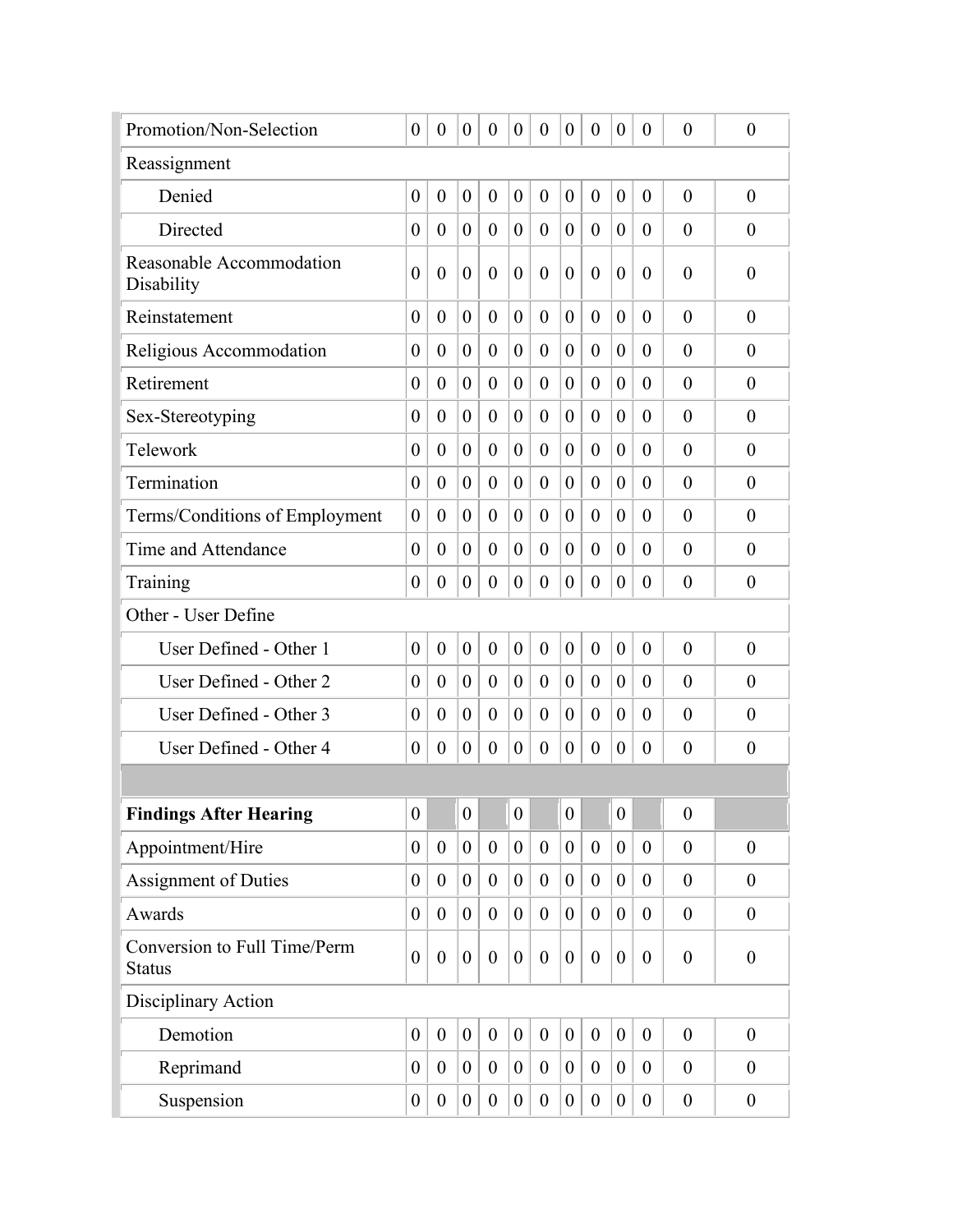| Promotion/Non-Selection                       | $\overline{0}$   | $\theta$         | $\boldsymbol{0}$ | $\overline{0}$   | $\overline{0}$   | $\theta$         | $\theta$         | $\theta$         | $\overline{0}$   | $\theta$         | $\overline{0}$   | $\boldsymbol{0}$ |
|-----------------------------------------------|------------------|------------------|------------------|------------------|------------------|------------------|------------------|------------------|------------------|------------------|------------------|------------------|
| Reassignment                                  |                  |                  |                  |                  |                  |                  |                  |                  |                  |                  |                  |                  |
| Denied                                        | $\boldsymbol{0}$ | $\theta$         | $\boldsymbol{0}$ | $\boldsymbol{0}$ | $\theta$         | $\boldsymbol{0}$ | $\boldsymbol{0}$ | $\theta$         | $\boldsymbol{0}$ | $\boldsymbol{0}$ | $\overline{0}$   | $\overline{0}$   |
| Directed                                      | $\boldsymbol{0}$ | $\boldsymbol{0}$ | $\boldsymbol{0}$ | $\boldsymbol{0}$ | $\boldsymbol{0}$ | $\boldsymbol{0}$ | $\boldsymbol{0}$ | $\theta$         | $\boldsymbol{0}$ | $\overline{0}$   | $\theta$         | $\theta$         |
| Reasonable Accommodation<br>Disability        | $\overline{0}$   | $\overline{0}$   | $\theta$         | $\theta$         | $\theta$         | $\theta$         | $\overline{0}$   | $\theta$         | $\overline{0}$   | $\Omega$         | $\theta$         | $\theta$         |
| Reinstatement                                 | $\theta$         | $\theta$         | $\theta$         | $\boldsymbol{0}$ | $\theta$         | $\boldsymbol{0}$ | $\boldsymbol{0}$ | $\theta$         | $\theta$         | $\theta$         | $\overline{0}$   | $\theta$         |
| Religious Accommodation                       | $\boldsymbol{0}$ | $\theta$         | $\theta$         | $\boldsymbol{0}$ | $\theta$         | $\boldsymbol{0}$ | $\boldsymbol{0}$ | $\theta$         | $\theta$         | $\overline{0}$   | $\theta$         | $\theta$         |
| Retirement                                    | 0                | $\theta$         | $\theta$         | $\theta$         | $\overline{0}$   | $\boldsymbol{0}$ | $\boldsymbol{0}$ | $\theta$         | $\theta$         | $\overline{0}$   | $\theta$         | $\theta$         |
| Sex-Stereotyping                              | $\boldsymbol{0}$ | $\boldsymbol{0}$ | $\theta$         | $\boldsymbol{0}$ | $\boldsymbol{0}$ | $\boldsymbol{0}$ | $\boldsymbol{0}$ | $\theta$         | $\boldsymbol{0}$ | $\theta$         | $\theta$         | $\theta$         |
| Telework                                      | $\boldsymbol{0}$ | $\boldsymbol{0}$ | $\theta$         | $\boldsymbol{0}$ | $\overline{0}$   | $\boldsymbol{0}$ | $\boldsymbol{0}$ | $\theta$         | $\boldsymbol{0}$ | $\overline{0}$   | $\theta$         | $\theta$         |
| Termination                                   | $\boldsymbol{0}$ | $\overline{0}$   | $\theta$         | $\theta$         | $\overline{0}$   | $\boldsymbol{0}$ | $\theta$         | $\theta$         | $\overline{0}$   | $\theta$         | $\theta$         | $\overline{0}$   |
| Terms/Conditions of Employment                | $\theta$         | $\theta$         | $\theta$         | $\overline{0}$   | $\overline{0}$   | $\boldsymbol{0}$ | $\theta$         | $\theta$         | $\theta$         | $\overline{0}$   | $\theta$         | $\theta$         |
| Time and Attendance                           | $\theta$         | $\theta$         | $\theta$         | $\theta$         | $\theta$         | $\theta$         | $\theta$         | $\theta$         | $\overline{0}$   | $\theta$         | $\theta$         | $\theta$         |
| Training                                      | $\theta$         | $\theta$         | $\theta$         | $\theta$         | $\theta$         | $\theta$         | $\theta$         | $\theta$         | $\theta$         | $\theta$         | $\theta$         | $\theta$         |
| Other - User Define                           |                  |                  |                  |                  |                  |                  |                  |                  |                  |                  |                  |                  |
| User Defined - Other 1                        | $\boldsymbol{0}$ | $\theta$         | $\overline{0}$   | $\boldsymbol{0}$ | $\overline{0}$   | $\boldsymbol{0}$ | $\boldsymbol{0}$ | $\theta$         | $\mathbf{0}$     | $\theta$         | $\theta$         | $\theta$         |
| User Defined - Other 2                        | 0                | $\theta$         | $\overline{0}$   | $\mathbf{0}$     | $\theta$         | $\boldsymbol{0}$ | $\boldsymbol{0}$ | $\theta$         | $\theta$         | $\overline{0}$   | $\theta$         | $\theta$         |
| User Defined - Other 3                        | $\theta$         | $\theta$         | $\overline{0}$   | $\boldsymbol{0}$ | $\overline{0}$   | $\boldsymbol{0}$ | $\overline{0}$   | $\theta$         | $\theta$         | $\overline{0}$   | $\theta$         | $\theta$         |
| User Defined - Other 4                        | 0                | $\boldsymbol{0}$ | $\boldsymbol{0}$ | $\boldsymbol{0}$ | $\overline{0}$   | $\boldsymbol{0}$ | $\boldsymbol{0}$ | $\boldsymbol{0}$ | $\boldsymbol{0}$ | $\overline{0}$   | $\theta$         | $\theta$         |
|                                               |                  |                  |                  |                  |                  |                  |                  |                  |                  |                  |                  |                  |
| <b>Findings After Hearing</b>                 | $\overline{0}$   |                  | $\overline{0}$   |                  | 0                |                  | $\overline{0}$   |                  | $\overline{0}$   |                  | $\boldsymbol{0}$ |                  |
| Appointment/Hire                              | $\overline{0}$   | $\overline{0}$   | $\overline{0}$   | $\overline{0}$   | $\overline{0}$   | $\mathbf{0}$     | $\overline{0}$   | $\mathbf{0}$     | $\overline{0}$   | $\theta$         | $\mathbf{0}$     | $\boldsymbol{0}$ |
| Assignment of Duties                          | $\theta$         | $\overline{0}$   | $\theta$         | $\overline{0}$   | $\overline{0}$   | $\theta$         | $\overline{0}$   | $\overline{0}$   | $\theta$         | $\overline{0}$   | $\overline{0}$   | $\theta$         |
| Awards                                        | $\overline{0}$   | $\overline{0}$   | $\overline{0}$   | $\overline{0}$   | $\theta$         | $\overline{0}$   | $\overline{0}$   | $\theta$         | $\overline{0}$   | $\overline{0}$   | $\overline{0}$   | $\boldsymbol{0}$ |
| Conversion to Full Time/Perm<br><b>Status</b> | $\overline{0}$   | $\boldsymbol{0}$ | $\overline{0}$   | $\theta$         | $\overline{0}$   | $\theta$         | $\boldsymbol{0}$ | $\overline{0}$   | $\boldsymbol{0}$ | $\theta$         | $\overline{0}$   | $\overline{0}$   |
| Disciplinary Action                           |                  |                  |                  |                  |                  |                  |                  |                  |                  |                  |                  |                  |
| Demotion                                      | $\overline{0}$   | $\overline{0}$   | $\overline{0}$   | $\overline{0}$   | $\overline{0}$   | $\mathbf{0}$     | $\mathbf{0}$     | $\mathbf{0}$     | $\overline{0}$   | $\mathbf{0}$     | $\overline{0}$   | $\boldsymbol{0}$ |
| Reprimand                                     | $\theta$         | $\overline{0}$   | $\overline{0}$   | $\overline{0}$   | $\overline{0}$   | $\theta$         | $\overline{0}$   | $\overline{0}$   | $\overline{0}$   | $\overline{0}$   | $\theta$         | $\theta$         |
| Suspension                                    | $\boldsymbol{0}$ | $\overline{0}$   | $\overline{0}$   | $\overline{0}$   | $\overline{0}$   | $\mathbf{0}$     | $\overline{0}$   | $\mathbf{0}$     | $\boldsymbol{0}$ | $\overline{0}$   | $\boldsymbol{0}$ | $\boldsymbol{0}$ |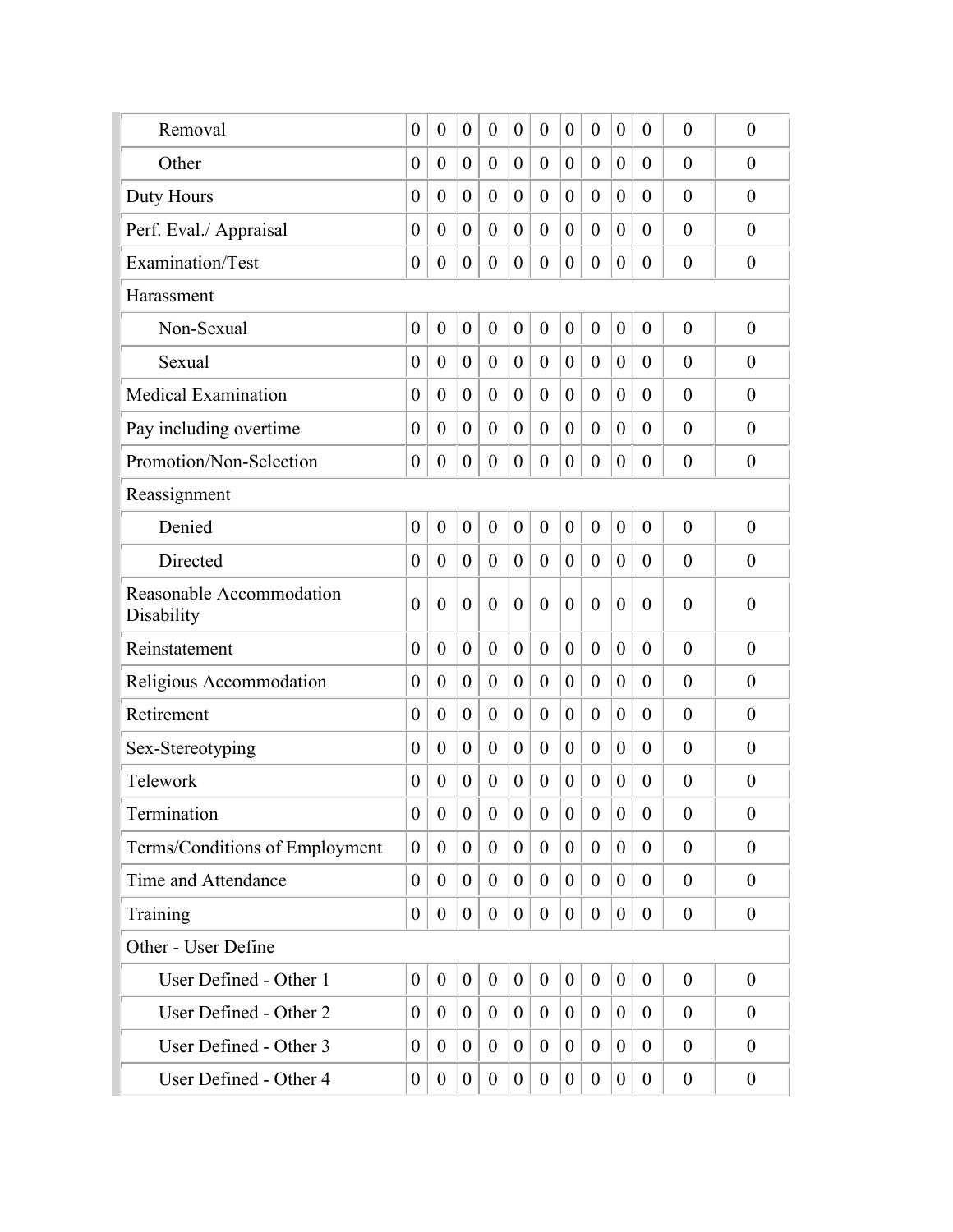| Removal                                | $\boldsymbol{0}$ | $\boldsymbol{0}$ | $\theta$         | $\boldsymbol{0}$ | $\theta$         | $\boldsymbol{0}$ | $\boldsymbol{0}$ | $\boldsymbol{0}$ | $\boldsymbol{0}$ | $\theta$         | $\theta$         | $\overline{0}$   |
|----------------------------------------|------------------|------------------|------------------|------------------|------------------|------------------|------------------|------------------|------------------|------------------|------------------|------------------|
| Other                                  | $\theta$         | $\overline{0}$   | $\overline{0}$   | $\boldsymbol{0}$ | $\boldsymbol{0}$ | $\boldsymbol{0}$ | $\boldsymbol{0}$ | $\theta$         | $\boldsymbol{0}$ | $\theta$         | $\theta$         | $\overline{0}$   |
| Duty Hours                             | $\boldsymbol{0}$ | $\overline{0}$   | $\theta$         | $\boldsymbol{0}$ | $\overline{0}$   | $\boldsymbol{0}$ | $\boldsymbol{0}$ | $\theta$         | $\boldsymbol{0}$ | $\overline{0}$   | $\theta$         | $\theta$         |
| Perf. Eval./ Appraisal                 | $\theta$         | $\overline{0}$   | $\overline{0}$   | $\overline{0}$   | $\overline{0}$   | $\boldsymbol{0}$ | $\overline{0}$   | $\theta$         | $\overline{0}$   | $\theta$         | $\theta$         | $\overline{0}$   |
| Examination/Test                       | $\theta$         | $\overline{0}$   | $\theta$         | $\overline{0}$   | $\overline{0}$   | $\theta$         | $\overline{0}$   | $\theta$         | $\boldsymbol{0}$ | $\theta$         | $\theta$         | $\boldsymbol{0}$ |
| Harassment                             |                  |                  |                  |                  |                  |                  |                  |                  |                  |                  |                  |                  |
| Non-Sexual                             | $\boldsymbol{0}$ | $\overline{0}$   | $\boldsymbol{0}$ | $\boldsymbol{0}$ | $\overline{0}$   | $\boldsymbol{0}$ | $\boldsymbol{0}$ | $\overline{0}$   | $\boldsymbol{0}$ | $\overline{0}$   | $\theta$         | $\theta$         |
| Sexual                                 | $\theta$         | $\overline{0}$   | $\boldsymbol{0}$ | $\theta$         | $\overline{0}$   | $\boldsymbol{0}$ | $\overline{0}$   | $\theta$         | $\theta$         | $\theta$         | $\theta$         | $\theta$         |
| <b>Medical Examination</b>             | $\overline{0}$   | $\overline{0}$   | $\theta$         | $\boldsymbol{0}$ | $\overline{0}$   | $\boldsymbol{0}$ | $\boldsymbol{0}$ | $\theta$         | $\boldsymbol{0}$ | $\overline{0}$   | $\theta$         | $\theta$         |
| Pay including overtime                 | $\theta$         | $\overline{0}$   | $\overline{0}$   | $\overline{0}$   | $\overline{0}$   | $\boldsymbol{0}$ | $\overline{0}$   | $\overline{0}$   | $\theta$         | $\theta$         | $\theta$         | $\theta$         |
| Promotion/Non-Selection                | $\boldsymbol{0}$ | $\boldsymbol{0}$ | $\boldsymbol{0}$ | $\boldsymbol{0}$ | $\boldsymbol{0}$ | $\boldsymbol{0}$ | $\boldsymbol{0}$ | $\boldsymbol{0}$ | $\boldsymbol{0}$ | $\theta$         | $\overline{0}$   | $\boldsymbol{0}$ |
| Reassignment                           |                  |                  |                  |                  |                  |                  |                  |                  |                  |                  |                  |                  |
| Denied                                 | $\boldsymbol{0}$ | $\overline{0}$   | $\overline{0}$   | $\mathbf{0}$     | $\overline{0}$   | $\boldsymbol{0}$ | $\boldsymbol{0}$ | $\mathbf{0}$     | $\overline{0}$   | $\overline{0}$   | $\overline{0}$   | $\overline{0}$   |
| Directed                               | $\theta$         | $\overline{0}$   | $\theta$         | $\overline{0}$   | $\theta$         | $\theta$         | $\boldsymbol{0}$ | $\overline{0}$   | $\theta$         | $\theta$         | $\theta$         | $\theta$         |
| Reasonable Accommodation<br>Disability | $\theta$         | $\overline{0}$   | $\overline{0}$   | $\mathbf{0}$     | $\theta$         | $\overline{0}$   | $\overline{0}$   | $\theta$         | $\overline{0}$   | $\theta$         | $\theta$         | $\overline{0}$   |
| Reinstatement                          | $\overline{0}$   | $\overline{0}$   | $\overline{0}$   | $\boldsymbol{0}$ | $\boldsymbol{0}$ | $\boldsymbol{0}$ | $\boldsymbol{0}$ | $\theta$         | $\boldsymbol{0}$ | $\overline{0}$   | $\theta$         | $\overline{0}$   |
| Religious Accommodation                | $\theta$         | $\overline{0}$   | $\theta$         | $\overline{0}$   | $\overline{0}$   | $\boldsymbol{0}$ | $\boldsymbol{0}$ | $\theta$         | $\theta$         | $\overline{0}$   | $\theta$         | $\theta$         |
| Retirement                             | $\theta$         | $\overline{0}$   | $\overline{0}$   | $\theta$         | $\overline{0}$   | $\boldsymbol{0}$ | $\overline{0}$   | $\theta$         | $\overline{0}$   | $\theta$         | $\theta$         | $\overline{0}$   |
| Sex-Stereotyping                       | $\theta$         | $\overline{0}$   | $\theta$         | $\theta$         | $\theta$         | $\theta$         | $\overline{0}$   | $\theta$         | $\theta$         | $\theta$         | $\theta$         | $\theta$         |
| Telework                               | $\theta$         | $\overline{0}$   | $\theta$         | $\boldsymbol{0}$ | $\theta$         | $\boldsymbol{0}$ | $\boldsymbol{0}$ | $\theta$         | $\boldsymbol{0}$ | $\overline{0}$   | $\theta$         | $\boldsymbol{0}$ |
| Termination                            | $\boldsymbol{0}$ | $\mathbf{0}$     | $\boldsymbol{0}$ | $\boldsymbol{0}$ | $\boldsymbol{0}$ | $\boldsymbol{0}$ | $\boldsymbol{0}$ | $\boldsymbol{0}$ | $\overline{0}$   | $\boldsymbol{0}$ | $\boldsymbol{0}$ | $\boldsymbol{0}$ |
| Terms/Conditions of Employment         | $\overline{0}$   | $\mathbf{0}$     | $\overline{0}$   | $\theta$         | $\overline{0}$   | $\overline{0}$   | $\overline{0}$   | $\mathbf{0}$     | $\overline{0}$   | $\overline{0}$   | $\theta$         | $\boldsymbol{0}$ |
| Time and Attendance                    | $\overline{0}$   | $\boldsymbol{0}$ | $\overline{0}$   | $\boldsymbol{0}$ | $\mathbf{0}$     | $\boldsymbol{0}$ | $\overline{0}$   | $\theta$         | $\boldsymbol{0}$ | $\overline{0}$   | $\mathbf{0}$     | $\overline{0}$   |
| Training                               | $\overline{0}$   | $\overline{0}$   | $\overline{0}$   | $\theta$         | $\overline{0}$   | $\boldsymbol{0}$ | $\boldsymbol{0}$ | $\theta$         | $\boldsymbol{0}$ | $\theta$         | $\mathbf{0}$     | $\boldsymbol{0}$ |
| Other - User Define                    |                  |                  |                  |                  |                  |                  |                  |                  |                  |                  |                  |                  |
| User Defined - Other 1                 | $\boldsymbol{0}$ | $\boldsymbol{0}$ | $\overline{0}$   | $\boldsymbol{0}$ | $\boldsymbol{0}$ | $\boldsymbol{0}$ | $\boldsymbol{0}$ | $\boldsymbol{0}$ | $\boldsymbol{0}$ | $\boldsymbol{0}$ | $\mathbf{0}$     | $\boldsymbol{0}$ |
| User Defined - Other 2                 | $\overline{0}$   | $\theta$         | $\overline{0}$   | $\boldsymbol{0}$ | $\boldsymbol{0}$ | $\boldsymbol{0}$ | $\boldsymbol{0}$ | $\theta$         | $\boldsymbol{0}$ | $\theta$         | $\mathbf{0}$     | $\theta$         |
| User Defined - Other 3                 | $\theta$         | $\theta$         | $\overline{0}$   | $\boldsymbol{0}$ | $\overline{0}$   | $\boldsymbol{0}$ | $\boldsymbol{0}$ | $\theta$         | $\boldsymbol{0}$ | $\overline{0}$   | $\mathbf{0}$     | $\theta$         |
| User Defined - Other 4                 | $\overline{0}$   | $\boldsymbol{0}$ | $\overline{0}$   | $\boldsymbol{0}$ | $\boldsymbol{0}$ | $\boldsymbol{0}$ | $\boldsymbol{0}$ | $\boldsymbol{0}$ | $\boldsymbol{0}$ | $\boldsymbol{0}$ | $\boldsymbol{0}$ | $\boldsymbol{0}$ |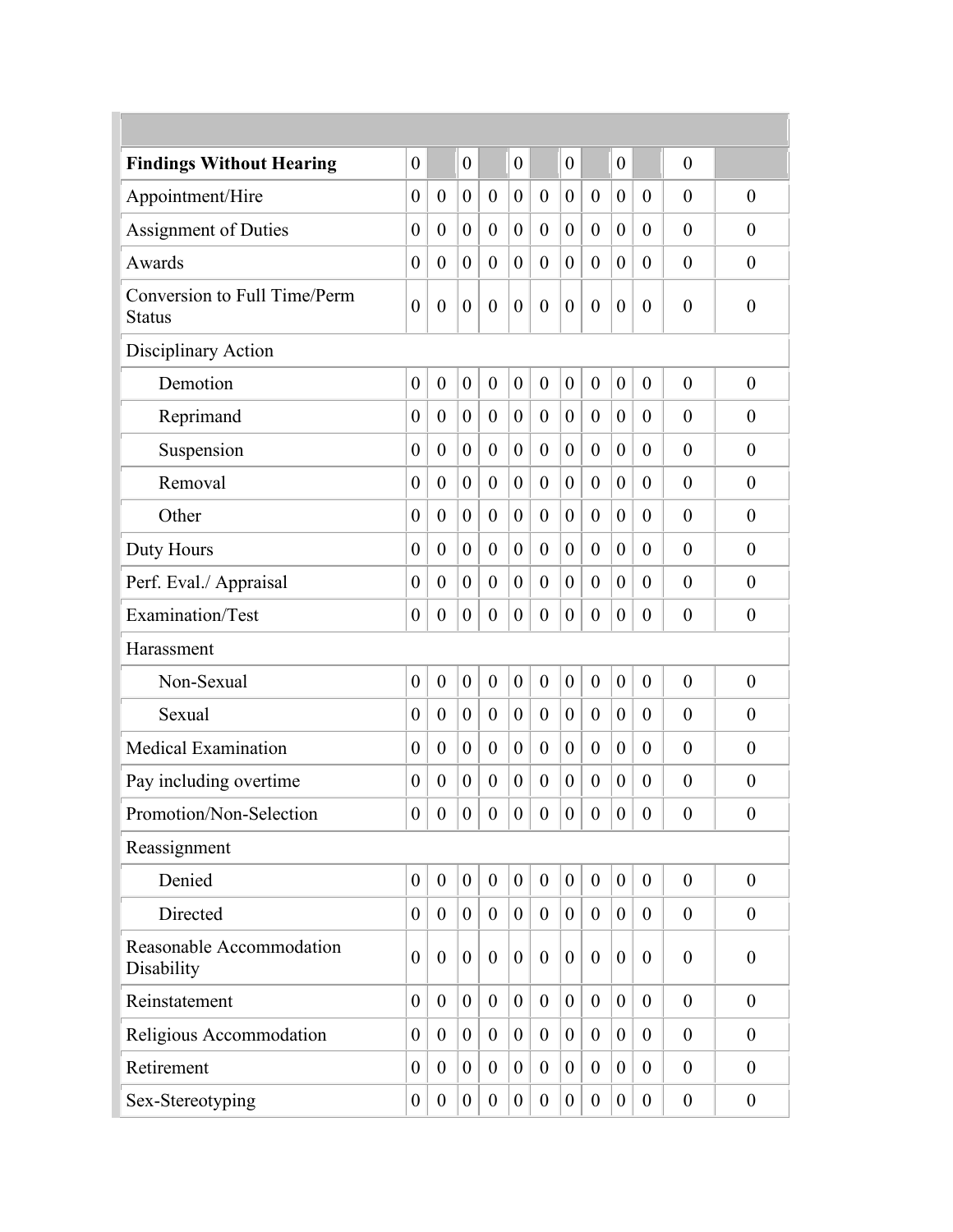| <b>Findings Without Hearing</b>               | $\boldsymbol{0}$ |                  | $\overline{0}$   |                  | $\boldsymbol{0}$ |                         | $\boldsymbol{0}$ |                  | $\boldsymbol{0}$ |                  | $\overline{0}$   |                  |
|-----------------------------------------------|------------------|------------------|------------------|------------------|------------------|-------------------------|------------------|------------------|------------------|------------------|------------------|------------------|
| Appointment/Hire                              | $\overline{0}$   | $\boldsymbol{0}$ | $\boldsymbol{0}$ | $\theta$         | $\boldsymbol{0}$ | $\boldsymbol{0}$        | $\boldsymbol{0}$ | $\theta$         | $\boldsymbol{0}$ | $\theta$         | $\theta$         | $\theta$         |
| <b>Assignment of Duties</b>                   | $\boldsymbol{0}$ | $\boldsymbol{0}$ | $\overline{0}$   | $\boldsymbol{0}$ | $\boldsymbol{0}$ | $\boldsymbol{0}$        | $\boldsymbol{0}$ | $\overline{0}$   | $\boldsymbol{0}$ | $\theta$         | $\overline{0}$   | $\boldsymbol{0}$ |
| Awards                                        | $\overline{0}$   | $\overline{0}$   | $\overline{0}$   | $\boldsymbol{0}$ | $\theta$         | $\boldsymbol{0}$        | $\boldsymbol{0}$ | $\theta$         | $\boldsymbol{0}$ | $\theta$         | $\overline{0}$   | $\boldsymbol{0}$ |
| Conversion to Full Time/Perm<br><b>Status</b> | $\boldsymbol{0}$ | $\overline{0}$   | $\boldsymbol{0}$ | $\boldsymbol{0}$ | $\theta$         | $\boldsymbol{0}$        | $\boldsymbol{0}$ | $\overline{0}$   | $\boldsymbol{0}$ | $\theta$         | $\overline{0}$   | $\boldsymbol{0}$ |
| Disciplinary Action                           |                  |                  |                  |                  |                  |                         |                  |                  |                  |                  |                  |                  |
| Demotion                                      | $\boldsymbol{0}$ | $\boldsymbol{0}$ | $\boldsymbol{0}$ | $\boldsymbol{0}$ | $\boldsymbol{0}$ | $\boldsymbol{0}$        | $\boldsymbol{0}$ | $\overline{0}$   | $\boldsymbol{0}$ | $\overline{0}$   | $\overline{0}$   | $\boldsymbol{0}$ |
| Reprimand                                     | $\overline{0}$   | $\boldsymbol{0}$ | $\overline{0}$   | $\boldsymbol{0}$ | $\theta$         | $\boldsymbol{0}$        | $\boldsymbol{0}$ | $\overline{0}$   | $\boldsymbol{0}$ | $\theta$         | $\theta$         | $\boldsymbol{0}$ |
| Suspension                                    | $\overline{0}$   | $\overline{0}$   | $\overline{0}$   | $\boldsymbol{0}$ | $\theta$         | $\overline{0}$          | $\overline{0}$   | $\overline{0}$   | $\overline{0}$   | $\theta$         | $\theta$         | $\boldsymbol{0}$ |
| Removal                                       | $\theta$         | $\overline{0}$   | $\overline{0}$   | $\theta$         | $\theta$         | $\overline{0}$          | $\overline{0}$   | $\overline{0}$   | $\theta$         | $\theta$         | $\theta$         | $\theta$         |
| Other                                         | $\overline{0}$   | $\overline{0}$   | $\overline{0}$   | $\boldsymbol{0}$ | $\theta$         | $\overline{0}$          | $\overline{0}$   | $\theta$         | $\boldsymbol{0}$ | $\theta$         | $\overline{0}$   | $\boldsymbol{0}$ |
| Duty Hours                                    | $\overline{0}$   | $\overline{0}$   | $\overline{0}$   | $\overline{0}$   | $\theta$         | $\overline{0}$          | $\overline{0}$   | $\theta$         | $\boldsymbol{0}$ | $\theta$         | $\theta$         | $\theta$         |
| Perf. Eval./ Appraisal                        | $\overline{0}$   | $\overline{0}$   | $\overline{0}$   | $\overline{0}$   | $\theta$         | $\overline{0}$          | $\overline{0}$   | $\theta$         | $\overline{0}$   | $\theta$         | $\overline{0}$   | $\boldsymbol{0}$ |
| Examination/Test                              | $\boldsymbol{0}$ | $\boldsymbol{0}$ | $\boldsymbol{0}$ | $\boldsymbol{0}$ | $\boldsymbol{0}$ | $\boldsymbol{0}$        | $\boldsymbol{0}$ | $\overline{0}$   | $\boldsymbol{0}$ | $\theta$         | $\theta$         | $\boldsymbol{0}$ |
| Harassment                                    |                  |                  |                  |                  |                  |                         |                  |                  |                  |                  |                  |                  |
| Non-Sexual                                    | $\boldsymbol{0}$ | $\overline{0}$   | $\overline{0}$   | $\boldsymbol{0}$ | $\theta$         | $\boldsymbol{0}$        | $\boldsymbol{0}$ | $\overline{0}$   | $\boldsymbol{0}$ | $\theta$         | $\theta$         | $\boldsymbol{0}$ |
| Sexual                                        | $\boldsymbol{0}$ | $\boldsymbol{0}$ | $\overline{0}$   | $\boldsymbol{0}$ | $\boldsymbol{0}$ | $\boldsymbol{0}$        | $\boldsymbol{0}$ | $\overline{0}$   | $\boldsymbol{0}$ | $\theta$         | $\overline{0}$   | $\boldsymbol{0}$ |
| <b>Medical Examination</b>                    | $\boldsymbol{0}$ | $\boldsymbol{0}$ | $\boldsymbol{0}$ | $\boldsymbol{0}$ | $\overline{0}$   | $\boldsymbol{0}$        | $\boldsymbol{0}$ | $\overline{0}$   | $\boldsymbol{0}$ | $\theta$         | $\overline{0}$   | $\boldsymbol{0}$ |
| Pay including overtime                        | $\theta$         | $\boldsymbol{0}$ | $\overline{0}$   | $\theta$         | $\theta$         | $\boldsymbol{0}$        | $\overline{0}$   | $\theta$         | $\theta$         | $\theta$         | $\theta$         | $\boldsymbol{0}$ |
| Promotion/Non-Selection                       | 0 <sup>1</sup>   | $\boldsymbol{0}$ | $ 0\rangle$      | $\overline{0}$   |                  | $\vert 0 \vert 0 \vert$ | 0 <sup>1</sup>   | $\overline{0}$   | $\vert 0 \vert$  | $\boldsymbol{0}$ | $\boldsymbol{0}$ | $\boldsymbol{0}$ |
| Reassignment                                  |                  |                  |                  |                  |                  |                         |                  |                  |                  |                  |                  |                  |
| Denied                                        | $\overline{0}$   | $\mathbf{0}$     | $\overline{0}$   | $\overline{0}$   | $\overline{0}$   | $\overline{0}$          | $\boldsymbol{0}$ | $\theta$         | $\boldsymbol{0}$ | $\overline{0}$   | $\overline{0}$   | $\boldsymbol{0}$ |
| Directed                                      | $\overline{0}$   | $\boldsymbol{0}$ | $\boldsymbol{0}$ | $\boldsymbol{0}$ | $\mathbf{0}$     | $\boldsymbol{0}$        | $\boldsymbol{0}$ | $\overline{0}$   | $\boldsymbol{0}$ | $\overline{0}$   | $\theta$         | $\overline{0}$   |
| Reasonable Accommodation<br>Disability        | $\overline{0}$   | $\overline{0}$   | $\overline{0}$   | $\overline{0}$   | $\theta$         | $\theta$                | $\overline{0}$   | $\overline{0}$   | $\boldsymbol{0}$ | $\theta$         | $\overline{0}$   | $\overline{0}$   |
| Reinstatement                                 | $\overline{0}$   | $\theta$         | $\overline{0}$   | $\overline{0}$   | $\overline{0}$   | $\theta$                | $\overline{0}$   | $\theta$         | $\boldsymbol{0}$ | $\theta$         | $\mathbf{0}$     | $\boldsymbol{0}$ |
| Religious Accommodation                       | $\overline{0}$   | $\overline{0}$   | $\overline{0}$   | $\overline{0}$   | $\theta$         | $\boldsymbol{0}$        | $\theta$         | $\overline{0}$   | $\overline{0}$   | $\overline{0}$   | $\overline{0}$   | $\overline{0}$   |
| Retirement                                    | $\overline{0}$   | $\overline{0}$   | $\overline{0}$   | $\overline{0}$   | $\theta$         | $\boldsymbol{0}$        | $\boldsymbol{0}$ | $\theta$         | $\boldsymbol{0}$ | $\overline{0}$   | $\theta$         | $\boldsymbol{0}$ |
| Sex-Stereotyping                              | $\boldsymbol{0}$ | $\boldsymbol{0}$ | $\boldsymbol{0}$ | $\boldsymbol{0}$ | $\overline{0}$   | $\boldsymbol{0}$        | $\boldsymbol{0}$ | $\boldsymbol{0}$ | $\boldsymbol{0}$ | $\overline{0}$   | $\theta$         | $\boldsymbol{0}$ |